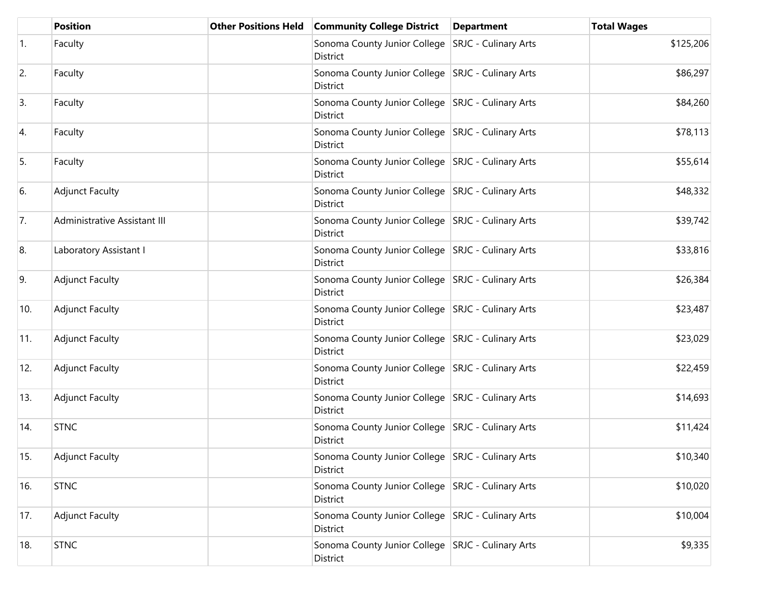|     | <b>Position</b>              | <b>Other Positions Held</b> | <b>Community College District</b>                               | <b>Department</b> | <b>Total Wages</b> |
|-----|------------------------------|-----------------------------|-----------------------------------------------------------------|-------------------|--------------------|
| 1.  | Faculty                      |                             | Sonoma County Junior College   SRJC - Culinary Arts<br>District |                   | \$125,206          |
| 2.  | Faculty                      |                             | Sonoma County Junior College SRJC - Culinary Arts<br>District   |                   | \$86,297           |
| 3.  | Faculty                      |                             | Sonoma County Junior College   SRJC - Culinary Arts<br>District |                   | \$84,260           |
| 4.  | Faculty                      |                             | Sonoma County Junior College SRJC - Culinary Arts<br>District   |                   | \$78,113           |
| 5.  | Faculty                      |                             | Sonoma County Junior College   SRJC - Culinary Arts<br>District |                   | \$55,614           |
| 6.  | <b>Adjunct Faculty</b>       |                             | Sonoma County Junior College SRJC - Culinary Arts<br>District   |                   | \$48,332           |
| 7.  | Administrative Assistant III |                             | Sonoma County Junior College SRJC - Culinary Arts<br>District   |                   | \$39,742           |
| 8.  | Laboratory Assistant I       |                             | Sonoma County Junior College SRJC - Culinary Arts<br>District   |                   | \$33,816           |
| 9.  | <b>Adjunct Faculty</b>       |                             | Sonoma County Junior College SRJC - Culinary Arts<br>District   |                   | \$26,384           |
| 10. | <b>Adjunct Faculty</b>       |                             | Sonoma County Junior College   SRJC - Culinary Arts<br>District |                   | \$23,487           |
| 11. | <b>Adjunct Faculty</b>       |                             | Sonoma County Junior College SRJC - Culinary Arts<br>District   |                   | \$23,029           |
| 12. | <b>Adjunct Faculty</b>       |                             | Sonoma County Junior College SRJC - Culinary Arts<br>District   |                   | \$22,459           |
| 13. | <b>Adjunct Faculty</b>       |                             | Sonoma County Junior College SRJC - Culinary Arts<br>District   |                   | \$14,693           |
| 14. | <b>STNC</b>                  |                             | Sonoma County Junior College SRJC - Culinary Arts<br>District   |                   | \$11,424           |
| 15. | <b>Adjunct Faculty</b>       |                             | Sonoma County Junior College   SRJC - Culinary Arts<br>District |                   | \$10,340           |
| 16. | <b>STNC</b>                  |                             | Sonoma County Junior College SRJC - Culinary Arts<br>District   |                   | \$10,020           |
| 17. | <b>Adjunct Faculty</b>       |                             | Sonoma County Junior College SRJC - Culinary Arts<br>District   |                   | \$10,004           |
| 18. | <b>STNC</b>                  |                             | Sonoma County Junior College SRJC - Culinary Arts<br>District   |                   | \$9,335            |